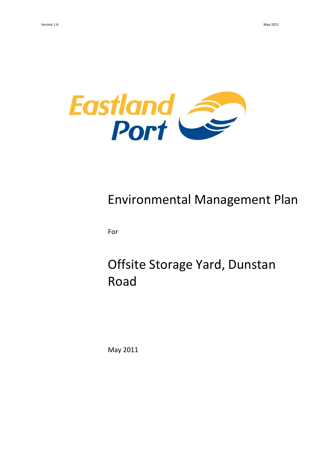

# Environmental Management Plan

For

# Offsite Storage Yard, Dunstan Road

May 2011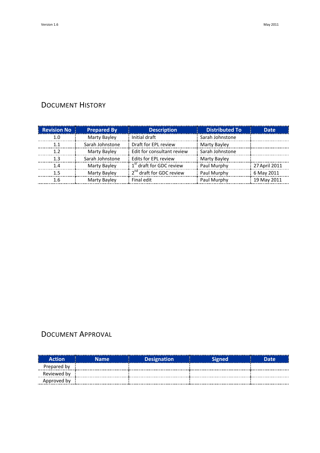## DOCUMENT HISTORY

| <b>Revision No</b> | <b>Prepared By</b> | <b>Description</b>                   | <b>Distributed To</b> | <b>Date</b>   |
|--------------------|--------------------|--------------------------------------|-----------------------|---------------|
| 1.0                | Marty Bayley       | Initial draft                        | Sarah Johnstone       |               |
|                    | Sarah Johnstone    | Draft for EPL review                 | Marty Bayley          |               |
| 12                 | Marty Bayley       | Edit for consultant review           | Sarah Johnstone       |               |
| 1 २                | Sarah Johnstone    | Edits for EPL review                 | Marty Bayley          |               |
| 1.4                | Marty Bayley       | 1 <sup>st</sup> draft for GDC review | Paul Murphy           | 27 April 2011 |
| 15                 | Marty Bayley       | 2 <sup>nd</sup> draft for GDC review | Paul Murphy           | 6 May 2011    |
|                    | Marty Bayley       | Final edit                           | Paul Murphy           | 19 May 2011   |

## DOCUMENT APPROVAL

| <br><b>Action</b> | Name. | <b>Designation</b> | Signed | Date |
|-------------------|-------|--------------------|--------|------|
| Prepared by       |       |                    |        |      |
| Reviewed by       |       |                    |        |      |
| Approved by       |       |                    |        |      |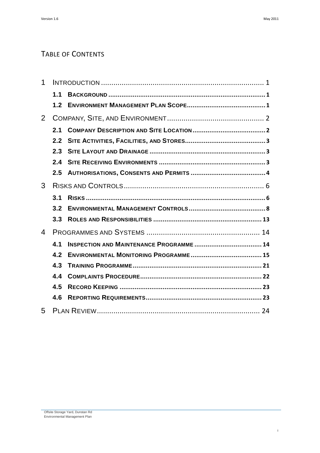## TABLE OF CONTENTS

| 1 |     |                                                 |  |
|---|-----|-------------------------------------------------|--|
|   | 1.1 |                                                 |  |
|   | 1.2 |                                                 |  |
| 2 |     |                                                 |  |
|   | 2.1 |                                                 |  |
|   | 2.2 |                                                 |  |
|   | 2.3 |                                                 |  |
|   | 2.4 |                                                 |  |
|   | 2.5 |                                                 |  |
| 3 |     |                                                 |  |
|   | 3.1 |                                                 |  |
|   | 3.2 |                                                 |  |
|   | 3.3 |                                                 |  |
| 4 |     |                                                 |  |
|   | 4.1 | <b>INSPECTION AND MAINTENANCE PROGRAMME  14</b> |  |
|   | 4.2 |                                                 |  |
|   | 4.3 |                                                 |  |
|   | 4.4 |                                                 |  |
|   | 4.5 |                                                 |  |
|   | 4.6 |                                                 |  |
| 5 |     |                                                 |  |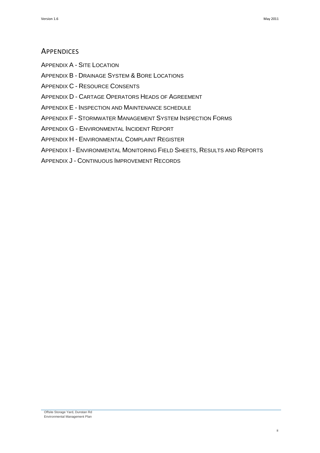## **APPENDICES**

APPENDIX A - SITE LOCATION

APPENDIX B - DRAINAGE SYSTEM & BORE LOCATIONS

APPENDIX C - RESOURCE CONSENTS

APPENDIX D - CARTAGE OPERATORS HEADS OF AGREEMENT

APPENDIX E - INSPECTION AND MAINTENANCE SCHEDULE

APPENDIX F - STORMWATER MANAGEMENT SYSTEM INSPECTION FORMS

APPENDIX G - ENVIRONMENTAL INCIDENT REPORT

APPENDIX H - ENVIRONMENTAL COMPLAINT REGISTER

APPENDIX I - ENVIRONMENTAL MONITORING FIELD SHEETS, RESULTS AND REPORTS

APPENDIX J - CONTINUOUS IMPROVEMENT RECORDS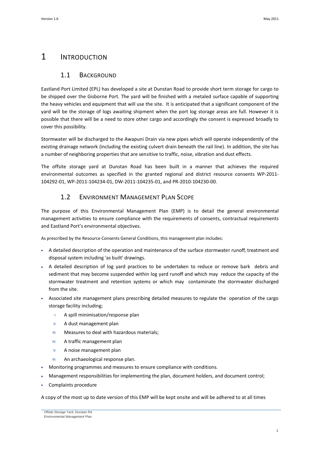## <span id="page-4-1"></span><span id="page-4-0"></span>1 INTRODUCTION

### 1.1 BACKGROUND

Eastland Port Limited (EPL) has developed a site at Dunstan Road to provide short term storage for cargo to be shipped over the Gisborne Port. The yard will be finished with a metaled surface capable of supporting the heavy vehicles and equipment that will use the site. It is anticipated that a significant component of the yard will be the storage of logs awaiting shipment when the port log storage areas are full. However it is possible that there will be a need to store other cargo and accordingly the consent is expressed broadly to cover this possibility.

Stormwater will be discharged to the Awapuni Drain via new pipes which will operate independently of the existing drainage network (including the existing culvert drain beneath the rail line). In addition, the site has a number of neighboring properties that are sensitive to traffic, noise, vibration and dust effects.

The offsite storage yard at Dunstan Road has been built in a manner that achieves the required environmental outcomes as specified in the granted regional and district resource consents WP-2011- 104292-01, WP-2011-104234-01, DW-2011-104235-01, and PR-2010-104230-00.

## 1.2 ENVIRONMENT MANAGEMENT PLAN SCOPE

<span id="page-4-2"></span>The purpose of this Environmental Management Plan (EMP) is to detail the general environmental management activities to ensure compliance with the requirements of consents, contractual requirements and Eastland Port's environmental objectives.

As prescribed by the Resource Consents General Conditions, this management plan includes:

- A detailed description of the operation and maintenance of the surface stormwater runoff, treatment and disposal system including 'as built' drawings.
- A detailed description of log yard practices to be undertaken to reduce or remove bark debris and sediment that may become suspended within log yard runoff and which may reduce the capacity of the stormwater treatment and retention systems or which may contaminate the stormwater discharged from the site.
- Associated site management plans prescribing detailed measures to regulate the operation of the cargo storage facility including;
	- I. A spill minimisation/response plan
	- II. A dust management plan
	- III. Measures to deal with hazardous materials;
	- IV. A traffic management plan
	- V. A noise management plan
	- VI. An archaeological response plan.
- Monitoring programmes and measures to ensure compliance with conditions.
- Management responsibilities for implementing the plan, document holders, and document control;
- Complaints procedure

A copy of the most up to date version of this EMP will be kept onsite and will be adhered to at all times

Offsite Storage Yard, Dunstan Rd Environmental Management Plan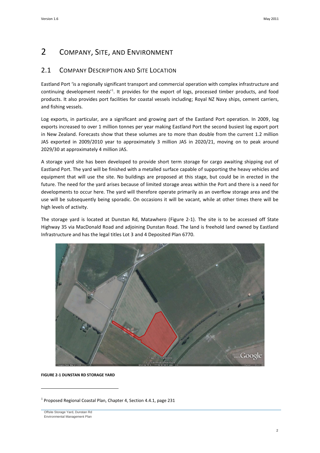## <span id="page-5-0"></span>2 COMPANY, SITE, AND ENVIRONMENT

## <span id="page-5-1"></span>2.1 COMPANY DESCRIPTION AND SITE LOCATION

Eastland Port 'is a regionally significant transport and commercial operation with complex infrastructure and continuing development needs'<sup>1</sup>. It provides for the export of logs, processed timber products, and food products. It also provides port facilities for coastal vessels including; Royal NZ Navy ships, cement carriers, and fishing vessels.

Log exports, in particular, are a significant and growing part of the Eastland Port operation. In 2009, log exports increased to over 1 million tonnes per year making Eastland Port the second busiest log export port in New Zealand. Forecasts show that these volumes are to more than double from the current 1.2 million JAS exported in 2009/2010 year to approximately 3 million JAS in 2020/21, moving on to peak around 2029/30 at approximately 4 million JAS.

A storage yard site has been developed to provide short term storage for cargo awaiting shipping out of Eastland Port. The yard will be finished with a metalled surface capable of supporting the heavy vehicles and equipment that will use the site. No buildings are proposed at this stage, but could be in erected in the future. The need for the yard arises because of limited storage areas within the Port and there is a need for developments to occur here. The yard will therefore operate primarily as an overflow storage area and the use will be subsequently being sporadic. On occasions it will be vacant, while at other times there will be high levels of activity.

The storage yard is located at Dunstan Rd, Matawhero [\(Figure 2-1\)](#page-5-2). The site is to be accessed off State Highway 35 via MacDonald Road and adjoining Dunstan Road. The land is freehold land owned by Eastland Infrastructure and has the legal titles Lot 3 and 4 Deposited Plan 6770.



<span id="page-5-2"></span>**FIGURE 2-1 DUNSTAN RD STORAGE YARD**

 $\overline{a}$ 

 $<sup>1</sup>$  Proposed Regional Coastal Plan, Chapter 4, Section 4.4.1, page 231</sup>

Offsite Storage Yard, Dunstan Rd Environmental Management Plan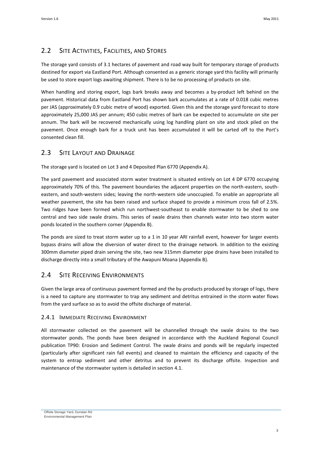## <span id="page-6-0"></span>2.2 SITE ACTIVITIES, FACILITIES, AND STORES

The storage yard consists of 3.1 hectares of pavement and road way built for temporary storage of products destined for export via Eastland Port. Although consented as a generic storage yard this facility will primarily be used to store export logs awaiting shipment. There is to be no processing of products on site.

When handling and storing export, logs bark breaks away and becomes a by-product left behind on the pavement. Historical data from Eastland Port has shown bark accumulates at a rate of 0.018 cubic metres per JAS (approximately 0.9 cubic metre of wood) exported. Given this and the storage yard forecast to store approximately 25,000 JAS per annum; 450 cubic metres of bark can be expected to accumulate on site per annum. The bark will be recovered mechanically using log handling plant on site and stock piled on the pavement. Once enough bark for a truck unit has been accumulated it will be carted off to the Port's consented clean fill.

### <span id="page-6-1"></span>2.3 SITE LAYOUT AND DRAINAGE

The storage yard is located on Lot 3 and 4 Deposited Plan 6770 (Appendix A).

The yard pavement and associated storm water treatment is situated entirely on Lot 4 DP 6770 occupying approximately 70% of this. The pavement boundaries the adjacent properties on the north-eastern, southeastern, and south-western sides; leaving the north-western side unoccupied. To enable an appropriate all weather pavement, the site has been raised and surface shaped to provide a minimum cross fall of 2.5%. Two ridges have been formed which run northwest-southeast to enable stormwater to be shed to one central and two side swale drains. This series of swale drains then channels water into two storm water ponds located in the southern corner (Appendix B).

The ponds are sized to treat storm water up to a 1 in 10 year ARI rainfall event, however for larger events bypass drains will allow the diversion of water direct to the drainage network. In addition to the existing 300mm diameter piped drain serving the site, two new 315mm diameter pipe drains have been installed to discharge directly into a small tributary of the Awapuni Moana (Appendix B).

## <span id="page-6-2"></span>2.4 SITE RECEIVING ENVIRONMENTS

Given the large area of continuous pavement formed and the by-products produced by storage of logs, there is a need to capture any stormwater to trap any sediment and detritus entrained in the storm water flows from the yard surface so as to avoid the offsite discharge of material.

#### 2.4.1 IMMEDIATE RECEIVING ENVIRONMENT

All stormwater collected on the pavement will be channelled through the swale drains to the two stormwater ponds. The ponds have been designed in accordance with the Auckland Regional Council publication TP90: Erosion and Sediment Control. The swale drains and ponds will be regularly inspected (particularly after significant rain fall events) and cleaned to maintain the efficiency and capacity of the system to entrap sediment and other detritus and to prevent its discharge offsite. Inspection and maintenance of the stormwater system is detailed in sectio[n 4.1.](#page-17-1)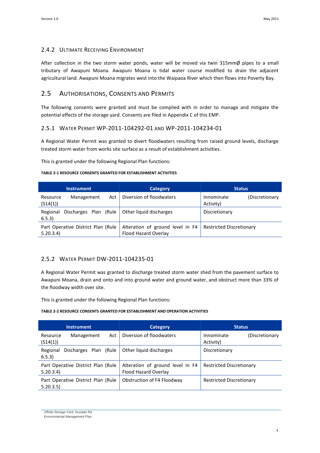#### 2.4.2 ULTIMATE RECEIVING ENVIRONMENT

After collection in the two storm water ponds, water will be moved via twin 315mmØ pipes to a small tributary of Awapuni Moana. Awapuni Moana is tidal water course modified to drain the adjacent agricultural land. Awapuni Moana migrates west into the Waipaoa River which then flows into Poverty Bay.

### <span id="page-7-0"></span>2.5 AUTHORISATIONS, CONSENTS AND PERMITS

The following consents were granted and must be complied with in order to manage and mitigate the potential effects of the storage yard. Consents are filed in Appendix C of this EMP.

#### 2.5.1 WATER PERMIT WP-2011-104292-01 AND WP-2011-104234-01

A Regional Water Permit was granted to divert floodwaters resulting from raised ground levels, discharge treated storm water from works site surface as a result of establishment activities.

This is granted under the following Regional Plan functions:

#### **TABLE 2-1 RESOURCE CONSENTS GRANTED FOR ESTABLISHMENT ACTIVITIES**

| <b>Instrument</b>                              | <b>Category</b>                                          | <b>Status</b>                             |  |
|------------------------------------------------|----------------------------------------------------------|-------------------------------------------|--|
| Act<br>Management<br>Resource<br>(S14(1))      | Diversion of floodwaters                                 | Innominate<br>(Discretionary<br>Activity) |  |
| Discharges Plan (Rule<br>Regional<br>6.5.3)    | Other liquid discharges                                  | Discretionary                             |  |
| Part Operative District Plan (Rule<br>5.20.3.4 | Alteration of ground level in F4<br>Flood Hazard Overlay | <b>Restricted Discretionary</b>           |  |

#### 2.5.2 WATER PERMIT DW-2011-104235-01

A Regional Water Permit was granted to discharge treated storm water shed from the pavement surface to Awapuni Moana, drain and onto and into ground water and ground water, and obstruct more than 33% of the floodway width over site.

This is granted under the following Regional Plan functions:

#### **TABLE 2-2 RESOURCE CONSENTS GRANTED FOR ESTABLISHMENT AND OPERATION ACTIVITIES**

| <b>Instrument</b>                                | <b>Category</b>                                          | <b>Status</b>                             |  |
|--------------------------------------------------|----------------------------------------------------------|-------------------------------------------|--|
| Act<br>Management<br>Resource<br>(S14(1))        | Diversion of floodwaters                                 | Innominate<br>(Discretionary<br>Activity) |  |
| Regional<br>Discharges Plan<br>(Rule<br>6.5.3)   | Other liquid discharges                                  | Discretionary                             |  |
| Part Operative District Plan (Rule<br>5.20.3.4)  | Alteration of ground level in F4<br>Flood Hazard Overlay | <b>Restricted Discretionary</b>           |  |
| Part Operative District Plan (Rule)<br>5.20.3.5) | Obstruction of F4 Floodway                               | <b>Restricted Discretionary</b>           |  |

Offsite Storage Yard, Dunstan Rd

Environmental Management Plan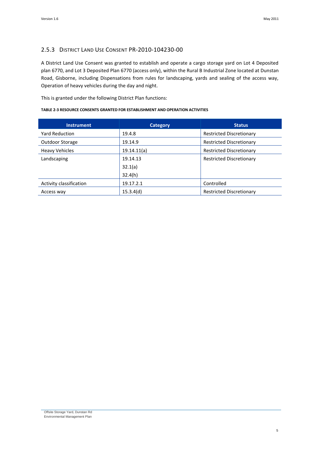### 2.5.3 DISTRICT LAND USE CONSENT PR-2010-104230-00

A District Land Use Consent was granted to establish and operate a cargo storage yard on Lot 4 Deposited plan 6770, and Lot 3 Deposited Plan 6770 (access only), within the Rural B Industrial Zone located at Dunstan Road, Gisborne, including Dispensations from rules for landscaping, yards and sealing of the access way, Operation of heavy vehicles during the day and night.

This is granted under the following District Plan functions:

#### **TABLE 2-3 RESOURCE CONSENTS GRANTED FOR ESTABLISHMENT AND OPERATION ACTIVITIES**

| <b>Instrument</b>       | Category    | <b>Status</b>                   |
|-------------------------|-------------|---------------------------------|
| <b>Yard Reduction</b>   | 19.4.8      | <b>Restricted Discretionary</b> |
| Outdoor Storage         | 19.14.9     | <b>Restricted Discretionary</b> |
| <b>Heavy Vehicles</b>   | 19.14.11(a) | <b>Restricted Discretionary</b> |
| Landscaping             | 19.14.13    | <b>Restricted Discretionary</b> |
|                         | 32.1(a)     |                                 |
|                         | 32.4(h)     |                                 |
| Activity classification | 19.17.2.1   | Controlled                      |
| Access way              | 15.3.4(d)   | <b>Restricted Discretionary</b> |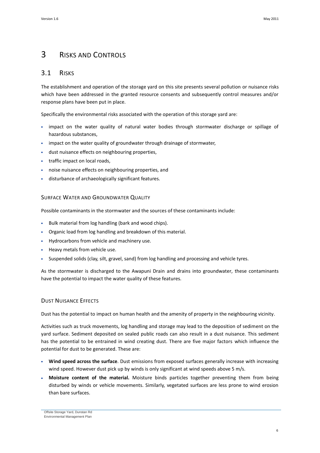## <span id="page-9-0"></span>3 RISKS AND CONTROLS

### <span id="page-9-1"></span>3.1 RISKS

The establishment and operation of the storage yard on this site presents several pollution or nuisance risks which have been addressed in the granted resource consents and subsequently control measures and/or response plans have been put in place.

Specifically the environmental risks associated with the operation of this storage yard are:

- impact on the water quality of natural water bodies through stormwater discharge or spillage of hazardous substances,
- impact on the water quality of groundwater through drainage of stormwater,
- dust nuisance effects on neighbouring properties,
- traffic impact on local roads,
- noise nuisance effects on neighbouring properties, and
- disturbance of archaeologically significant features.

#### SURFACE WATER AND GROUNDWATER QUALITY

Possible contaminants in the stormwater and the sources of these contaminants include:

- Bulk material from log handling (bark and wood chips).
- Organic load from log handling and breakdown of this material.
- Hydrocarbons from vehicle and machinery use.
- Heavy metals from vehicle use.
- Suspended solids (clay, silt, gravel, sand) from log handling and processing and vehicle tyres.

As the stormwater is discharged to the Awapuni Drain and drains into groundwater, these contaminants have the potential to impact the water quality of these features.

#### DUST NUISANCE EFFECTS

Dust has the potential to impact on human health and the amenity of property in the neighbouring vicinity.

Activities such as truck movements, log handling and storage may lead to the deposition of sediment on the yard surface. Sediment deposited on sealed public roads can also result in a dust nuisance. This sediment has the potential to be entrained in wind creating dust. There are five major factors which influence the potential for dust to be generated. These are:

- Wind speed across the surface. Dust emissions from exposed surfaces generally increase with increasing wind speed. However dust pick up by winds is only significant at wind speeds above 5 m/s.
- **Moisture content of the material.** Moisture binds particles together preventing them from being disturbed by winds or vehicle movements. Similarly, vegetated surfaces are less prone to wind erosion than bare surfaces.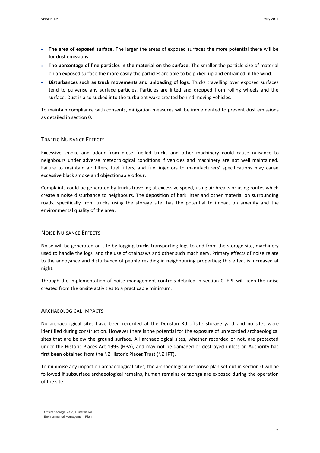- **The area of exposed surface.** The larger the areas of exposed surfaces the more potential there will be for dust emissions.
- **The percentage of fine particles in the material on the surface**. The smaller the particle size of material on an exposed surface the more easily the particles are able to be picked up and entrained in the wind.
- **Disturbances such as truck movements and unloading of logs**. Trucks travelling over exposed surfaces tend to pulverise any surface particles. Particles are lifted and dropped from rolling wheels and the surface. Dust is also sucked into the turbulent wake created behind moving vehicles.

To maintain compliance with consents, mitigation measures will be implemented to prevent dust emissions as detailed in section [0.](#page-13-0)

#### TRAFFIC NUISANCE EFFECTS

Excessive smoke and odour from diesel-fuelled trucks and other machinery could cause nuisance to neighbours under adverse meteorological conditions if vehicles and machinery are not well maintained. Failure to maintain air filters, fuel filters, and fuel injectors to manufacturers' specifications may cause excessive black smoke and objectionable odour.

Complaints could be generated by trucks traveling at excessive speed, using air breaks or using routes which create a noise disturbance to neighbours. The deposition of bark litter and other material on surrounding roads, specifically from trucks using the storage site, has the potential to impact on amenity and the environmental quality of the area.

#### NOISE NUISANCE EFFECTS

Noise will be generated on site by logging trucks transporting logs to and from the storage site, machinery used to handle the logs, and the use of chainsaws and other such machinery. Primary effects of noise relate to the annoyance and disturbance of people residing in neighbouring properties; this effect is increased at night.

Through the implementation of noise management controls detailed in section [0,](#page-14-0) EPL will keep the noise created from the onsite activities to a practicable minimum.

#### ARCHAEOLOGICAL IMPACTS

No archaeological sites have been recorded at the Dunstan Rd offsite storage yard and no sites were identified during construction. However there is the potential for the exposure of unrecorded archaeological sites that are below the ground surface. All archaeological sites, whether recorded or not, are protected under the Historic Places Act 1993 (HPA), and may not be damaged or destroyed unless an Authority has first been obtained from the NZ Historic Places Trust (NZHPT).

To minimise any impact on archaeological sites, the archaeological response plan set out in section [0](#page-14-1) will be followed if subsurface archaeological remains, human remains or taonga are exposed during the operation of the site.

Offsite Storage Yard, Dunstan Rd Environmental Management Plan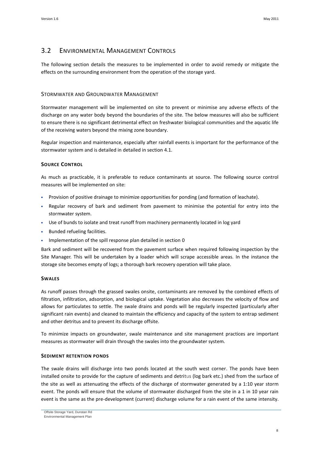## <span id="page-11-0"></span>3.2 ENVIRONMENTAL MANAGEMENT CONTROLS

The following section details the measures to be implemented in order to avoid remedy or mitigate the effects on the surrounding environment from the operation of the storage yard.

#### STORMWATER AND GROUNDWATER MANAGEMENT

Stormwater management will be implemented on site to prevent or minimise any adverse effects of the discharge on any water body beyond the boundaries of the site. The below measures will also be sufficient to ensure there is no significant detrimental effect on freshwater biological communities and the aquatic life of the receiving waters beyond the mixing zone boundary.

Regular inspection and maintenance, especially after rainfall events is important for the performance of the stormwater system and is detailed in detailed in sectio[n 4.1.](#page-17-1)

#### **SOURCE CONTROL**

As much as practicable, it is preferable to reduce contaminants at source. The following source control measures will be implemented on site:

- Provision of positive drainage to minimize opportunities for ponding (and formation of leachate).
- Regular recovery of bark and sediment from pavement to minimise the potential for entry into the stormwater system.
- Use of bunds to isolate and treat runoff from machinery permanently located in log yard
- Bunded refueling facilities.
- Implementation of the spill response plan detailed in sectio[n 0](#page-12-0)

Bark and sediment will be recovered from the pavement surface when required following inspection by the Site Manager. This will be undertaken by a loader which will scrape accessible areas. In the instance the storage site becomes empty of logs; a thorough bark recovery operation will take place.

#### **SWALES**

As runoff passes through the grassed swales onsite, contaminants are removed by the combined effects of filtration, infiltration, adsorption, and biological uptake. Vegetation also decreases the velocity of flow and allows for particulates to settle. The swale drains and ponds will be regularly inspected (particularly after significant rain events) and cleaned to maintain the efficiency and capacity of the system to entrap sediment and other detritus and to prevent its discharge offsite.

To minimize impacts on groundwater, swale maintenance and site management practices are important measures as stormwater will drain through the swales into the groundwater system.

#### **SEDIMENT RETENTION PONDS**

The swale drains will discharge into two ponds located at the south west corner. The ponds have been installed onsite to provide for the capture of sediments and detritus (log bark etc.) shed from the surface of the site as well as attenuating the effects of the discharge of stormwater generated by a 1:10 year storm event. The ponds will ensure that the volume of stormwater discharged from the site in a 1 in 10 year rain event is the same as the pre-development (current) discharge volume for a rain event of the same intensity.

Offsite Storage Yard, Dunstan Rd Environmental Management Plan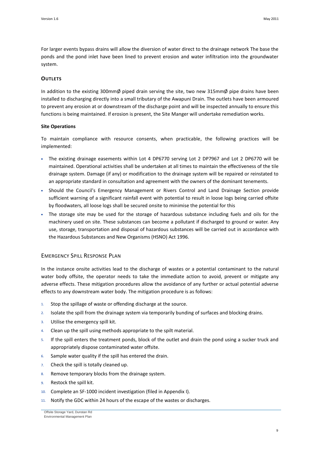For larger events bypass drains will allow the diversion of water direct to the drainage network The base the ponds and the pond inlet have been lined to prevent erosion and water infiltration into the groundwater system.

#### **OUTLETS**

In addition to the existing 300mmØ piped drain serving the site, two new 315mmØ pipe drains have been installed to discharging directly into a small tributary of the Awapuni Drain. The outlets have been armoured to prevent any erosion at or downstream of the discharge point and will be inspected annually to ensure this functions is being maintained. If erosion is present, the Site Manger will undertake remediation works.

#### **Site Operations**

To maintain compliance with resource consents, when practicable, the following practices will be implemented:

- The existing drainage easements within Lot 4 DP6770 serving Lot 2 DP7967 and Lot 2 DP6770 will be maintained. Operational activities shall be undertaken at all times to maintain the effectiveness of the tile drainage system. Damage (if any) or modification to the drainage system will be repaired or reinstated to an appropriate standard in consultation and agreement with the owners of the dominant tenements.
- Should the Council's Emergency Management or Rivers Control and Land Drainage Section provide sufficient warning of a significant rainfall event with potential to result in loose logs being carried offsite by floodwaters, all loose logs shall be secured onsite to minimise the potential for this
- The storage site may be used for the storage of hazardous substance including fuels and oils for the machinery used on site. These substances can become a pollutant if discharged to ground or water. Any use, storage, transportation and disposal of hazardous substances will be carried out in accordance with the Hazardous Substances and New Organisms (HSNO) Act 1996.

#### <span id="page-12-0"></span>EMERGENCY SPILL RESPONSE PLAN

In the instance onsite activities lead to the discharge of wastes or a potential contaminant to the natural water body offsite, the operator needs to take the immediate action to avoid, prevent or mitigate any adverse effects. These mitigation procedures allow the avoidance of any further or actual potential adverse effects to any downstream water body. The mitigation procedure is as follows:

- 1. Stop the spillage of waste or offending discharge at the source.
- 2. Isolate the spill from the drainage system via temporarily bunding of surfaces and blocking drains.
- 3. Utilise the emergency spill kit.
- 4. Clean up the spill using methods appropriate to the spilt material.
- 5. If the spill enters the treatment ponds, block of the outlet and drain the pond using a sucker truck and appropriately dispose contaminated water offsite.
- 6. Sample water quality if the spill has entered the drain.
- 7. Check the spill is totally cleaned up.
- 8. Remove temporary blocks from the drainage system.
- 9. Restock the spill kit.
- 10. Complete an SF-1000 incident investigation (filed in Appendix I).
- 11. Notify the GDC within 24 hours of the escape of the wastes or discharges.

Offsite Storage Yard, Dunstan Rd Environmental Management Plan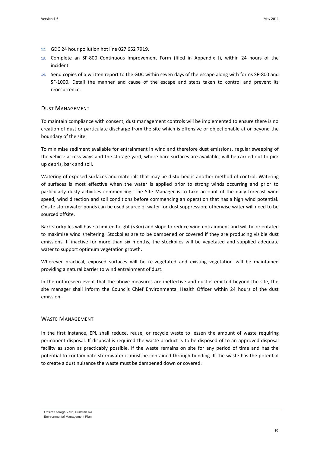- 12. GDC 24 hour pollution hot line 027 652 7919.
- 13. Complete an SF-800 Continuous Improvement Form (filed in Appendix J), within 24 hours of the incident.
- 14. Send copies of a written report to the GDC within seven days of the escape along with forms SF-800 and SF-1000. Detail the manner and cause of the escape and steps taken to control and prevent its reoccurrence.

#### <span id="page-13-0"></span>DUST MANAGEMENT

To maintain compliance with consent, dust management controls will be implemented to ensure there is no creation of dust or particulate discharge from the site which is offensive or objectionable at or beyond the boundary of the site.

To minimise sediment available for entrainment in wind and therefore dust emissions, regular sweeping of the vehicle access ways and the storage yard, where bare surfaces are available, will be carried out to pick up debris, bark and soil.

Watering of exposed surfaces and materials that may be disturbed is another method of control. Watering of surfaces is most effective when the water is applied prior to strong winds occurring and prior to particularly dusty activities commencing. The Site Manager is to take account of the daily forecast wind speed, wind direction and soil conditions before commencing an operation that has a high wind potential. Onsite stormwater ponds can be used source of water for dust suppression; otherwise water will need to be sourced offsite.

Bark stockpiles will have a limited height (<3m) and slope to reduce wind entrainment and will be orientated to maximise wind sheltering. Stockpiles are to be dampened or covered if they are producing visible dust emissions. If inactive for more than six months, the stockpiles will be vegetated and supplied adequate water to support optimum vegetation growth.

Wherever practical, exposed surfaces will be re-vegetated and existing vegetation will be maintained providing a natural barrier to wind entrainment of dust.

In the unforeseen event that the above measures are ineffective and dust is emitted beyond the site, the site manager shall inform the Councils Chief Environmental Health Officer within 24 hours of the dust emission.

#### WASTE MANAGEMENT

In the first instance, EPL shall reduce, reuse, or recycle waste to lessen the amount of waste requiring permanent disposal. If disposal is required the waste product is to be disposed of to an approved disposal facility as soon as practicably possible. If the waste remains on site for any period of time and has the potential to contaminate stormwater it must be contained through bunding. If the waste has the potential to create a dust nuisance the waste must be dampened down or covered.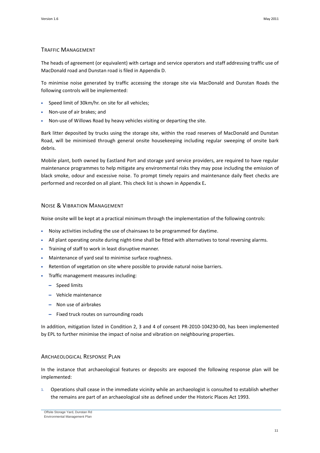#### TRAFFIC MANAGEMENT

The heads of agreement (or equivalent) with cartage and service operators and staff addressing traffic use of MacDonald road and Dunstan road is filed in Appendix D.

To minimise noise generated by traffic accessing the storage site via MacDonald and Dunstan Roads the following controls will be implemented:

- Speed limit of 30km/hr. on site for all vehicles;
- Non-use of air brakes; and
- Non-use of Willows Road by heavy vehicles visiting or departing the site.

Bark litter deposited by trucks using the storage site, within the road reserves of MacDonald and Dunstan Road, will be minimised through general onsite housekeeping including regular sweeping of onsite bark debris.

Mobile plant, both owned by Eastland Port and storage yard service providers, are required to have regular maintenance programmes to help mitigate any environmental risks they may pose including the emission of black smoke, odour and excessive noise. To prompt timely repairs and maintenance daily fleet checks are performed and recorded on all plant. This check list is shown in Appendix E**.**

#### <span id="page-14-0"></span>NOISE & VIBRATION MANAGEMENT

Noise onsite will be kept at a practical minimum through the implementation of the following controls:

- Noisy activities including the use of chainsaws to be programmed for daytime.
- All plant operating onsite during night-time shall be fitted with alternatives to tonal reversing alarms.
- Training of staff to work in least disruptive manner.
- Maintenance of yard seal to minimise surface roughness.
- Retention of vegetation on site where possible to provide natural noise barriers.
- Traffic management measures including:
	- Speed limits
	- Vehicle maintenance
	- Non use of airbrakes
	- Fixed truck routes on surrounding roads

In addition, mitigation listed in Condition 2, 3 and 4 of consent PR-2010-104230-00, has been implemented by EPL to further minimise the impact of noise and vibration on neighbouring properties.

#### <span id="page-14-1"></span>ARCHAEOLOGICAL RESPONSE PLAN

In the instance that archaeological features or deposits are exposed the following response plan will be implemented:

1. Operations shall cease in the immediate vicinity while an archaeologist is consulted to establish whether the remains are part of an archaeological site as defined under the Historic Places Act 1993.

Offsite Storage Yard, Dunstan Rd Environmental Management Plan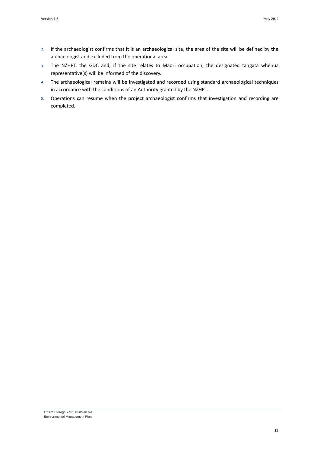- 2. If the archaeologist confirms that it is an archaeological site, the area of the site will be defined by the archaeologist and excluded from the operational area.
- 3. The NZHPT, the GDC and, if the site relates to Maori occupation, the designated tangata whenua representative(s) will be informed of the discovery.
- 4. The archaeological remains will be investigated and recorded using standard archaeological techniques in accordance with the conditions of an Authority granted by the NZHPT.
- 5. Operations can resume when the project archaeologist confirms that investigation and recording are completed.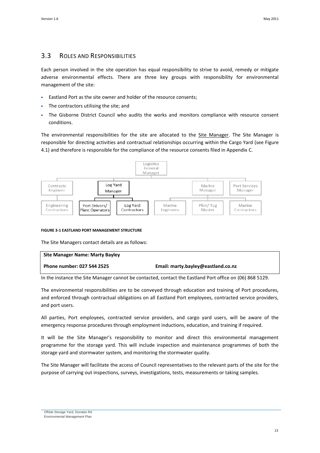### <span id="page-16-0"></span>3.3 ROLES AND RESPONSIBILITIES

Each person involved in the site operation has equal responsibility to strive to avoid, remedy or mitigate adverse environmental effects. There are three key groups with responsibility for environmental management of the site:

- Eastland Port as the site owner and holder of the resource consents;
- The contractors utilising the site; and
- The Gisborne District Council who audits the works and monitors compliance with resource consent conditions.

The environmental responsibilities for the site are allocated to the Site Manager. The Site Manager is responsible for directing activities and contractual relationships occurring within the Cargo Yard (see Figure 4.1) and therefore is responsible for the compliance of the resource consents filed in Appendix C.



#### **FIGURE 3-1 EASTLAND PORT MANAGEMENT STRUCTURE**

The Site Managers contact details are as follows:

| <b>Site Manager Name: Marty Bayley</b> |                                    |
|----------------------------------------|------------------------------------|
| Phone number: 027 544 2525             | Email: marty.bayley@eastland.co.nz |

In the instance the Site Manager cannot be contacted, contact the Eastland Port office on (06) 868 5129.

The environmental responsibilities are to be conveyed through education and training of Port procedures, and enforced through contractual obligations on all Eastland Port employees, contracted service providers, and port users.

All parties, Port employees, contracted service providers, and cargo yard users, will be aware of the emergency response procedures through employment inductions, education, and training if required.

It will be the Site Manager's responsibility to monitor and direct this environmental management programme for the storage yard. This will include inspection and maintenance programmes of both the storage yard and stormwater system, and monitoring the stormwater quality.

The Site Manager will facilitate the access of Council representatives to the relevant parts of the site for the purpose of carrying out inspections, surveys, investigations, tests, measurements or taking samples.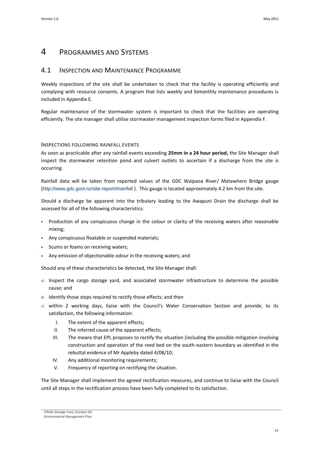## <span id="page-17-0"></span>4 PROGRAMMES AND SYSTEMS

### <span id="page-17-1"></span>4.1 INSPECTION AND MAINTENANCE PROGRAMME

Weekly inspections of the site shall be undertaken to check that the facility is operating efficiently and complying with resource consents. A program that lists weekly and bimonthly maintenance procedures is included in Appendix E.

Regular maintenance of the stormwater system is important to check that the facilities are operating efficiently. The site manager shall utilise stormwater management inspection forms filed in Appendix F.

#### INSPECTIONS FOLLOWING RAINFALL EVENTS

As soon as practicable after any rainfall events exceeding **25mm in a 24 hour period,** the Site Manager shall inspect the stormwater retention pond and culvert outlets to ascertain if a discharge from the site is occurring.

Rainfall data will be taken from reported values of the GDC Waipaoa River/ Matawhero Bridge gauge (<http://www.gdc.govt.nz/site-report/#rainfall> ). This gauge is located approximately 4.2 km from the site.

Should a discharge be apparent into the tributary leading to the Awapuni Drain the discharge shall be assessed for all of the following characteristics:

- Production of any conspicuous change in the colour or clarity of the receiving waters after reasonable mixing;
- Any conspicuous floatable or suspended materials;
- Scums or foams on receiving waters;
- Any emission of objectionable odour in the receiving waters; and

Should any of these characteristics be detected, the Site Manager shall:

- a) Inspect the cargo storage yard, and associated stormwater infrastructure to determine the possible cause; and
- b) Identify those steps required to rectify those effects; and then
- c) within 2 working days, liaise with the Council's Water Conservation Section and provide, to its satisfaction, the following information:
	- I. The extent of the apparent effects;
	- II. The inferred cause of the apparent effects;
	- III. The means that EPL proposes to rectify the situation (including the possible mitigation involving construction and operation of the reed bed on the south-eastern boundary as identified in the rebuttal evidence of Mr Appleby dated 4/08/10;
	- IV. Any additional monitoring requirements;
	- V. Frequency of reporting on rectifying the situation.

The Site Manager shall implement the agreed rectification measures, and continue to liaise with the Council until all steps in the rectification process have been fully completed to its satisfaction.

Offsite Storage Yard, Dunstan Rd Environmental Management Plan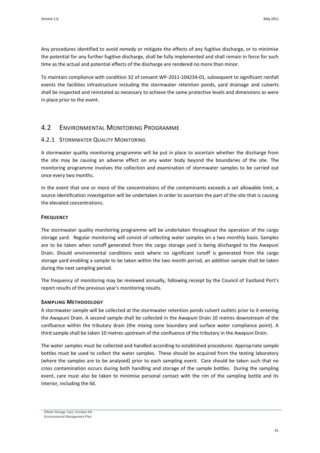Any procedures identified to avoid remedy or mitigate the effects of any fugitive discharge, or to minimise the potential for any further fugitive discharge, shall be fully implemented and shall remain in force for such time as the actual and potential effects of the discharge are rendered no more than minor.

To maintain compliance with condition 32 of consent WP-2011-104234-01, subsequent to significant rainfall events the facilities infrastructure including the stormwater retention ponds, yard drainage and culverts shall be inspected and reinstated as necessary to achieve the same protective levels and dimensions as were in place prior to the event.

### <span id="page-18-0"></span>4.2 ENVIRONMENTAL MONITORING PROGRAMME

#### 4.2.1 STORMWATER QUALITY MONITORING

A stormwater quality monitoring programme will be put in place to ascertain whether the discharge from the site may be causing an adverse effect on any water body beyond the boundaries of the site. The monitoring programme involves the collection and examination of stormwater samples to be carried out once every two months.

In the event that one or more of the concentrations of the contaminants exceeds a set allowable limit, a source identification investigation will be undertaken in order to ascertain the part of the site that is causing the elevated concentrations.

#### **FREQUENCY**

The stormwater quality monitoring programme will be undertaken throughout the operation of the cargo storage yard. Regular monitoring will consist of collecting water samples on a two monthly basis. Samples are to be taken when runoff generated from the cargo storage yard is being discharged to the Awapuni Drain. Should environmental conditions exist where no significant runoff is generated from the cargo storage yard enabling a sample to be taken within the two month period, an addition sample shall be taken during the next sampling period.

The frequency of monitoring may be reviewed annually, following receipt by the Council of Eastland Port's report results of the previous year's monitoring results.

#### **SAMPLING METHODOLOGY**

A stormwater sample will be collected at the stormwater retention ponds culvert outlets prior to it entering the Awapuni Drain. A second sample shall be collected in the Awapuni Drain 10 metres downstream of the confluence within the tributary drain (the mixing zone boundary and surface water compliance point). A third sample shall be taken 10 metres upstream of the confluence of the tributary in the Awapuni Drain.

The water samples must be collected and handled according to established procedures. Appropriate sample bottles must be used to collect the water samples. These should be acquired from the testing laboratory (where the samples are to be analysed) prior to each sampling event. Care should be taken such that no cross contamination occurs during both handling and storage of the sample bottles. During the sampling event, care must also be taken to minimise personal contact with the rim of the sampling bottle and its interior, including the lid.

Offsite Storage Yard, Dunstan Rd Environmental Management Plan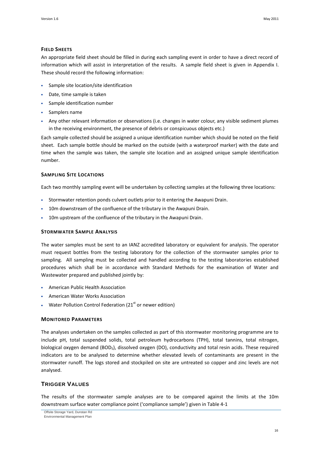#### **FIELD SHEETS**

An appropriate field sheet should be filled in during each sampling event in order to have a direct record of information which will assist in interpretation of the results. A sample field sheet is given in Appendix I. These should record the following information:

- Sample site location/site identification
- Date, time sample is taken
- Sample identification number
- Samplers name
- Any other relevant information or observations (i.e. changes in water colour, any visible sediment plumes in the receiving environment, the presence of debris or conspicuous objects etc.)

Each sample collected should be assigned a unique identification number which should be noted on the field sheet. Each sample bottle should be marked on the outside (with a waterproof marker) with the date and time when the sample was taken, the sample site location and an assigned unique sample identification number.

#### **SAMPLING SITE LOCATIONS**

Each two monthly sampling event will be undertaken by collecting samples at the following three locations:

- Stormwater retention ponds culvert outlets prior to it entering the Awapuni Drain.
- 10m downstream of the confluence of the tributary in the Awapuni Drain.
- 10m upstream of the confluence of the tributary in the Awapuni Drain.

#### **STORMWATER SAMPLE ANALYSIS**

The water samples must be sent to an IANZ accredited laboratory or equivalent for analysis. The operator must request bottles from the testing laboratory for the collection of the stormwater samples prior to sampling. All sampling must be collected and handled according to the testing laboratories established procedures which shall be in accordance with Standard Methods for the examination of Water and Wastewater prepared and published jointly by:

- American Public Health Association
- American Water Works Association
- Water Pollution Control Federation (21 $<sup>st</sup>$  or newer edition)</sup>

#### **MONITORED PARAMETERS**

The analyses undertaken on the samples collected as part of this stormwater monitoring programme are to include pH, total suspended solids, total petroleum hydrocarbons (TPH), total tannins, total nitrogen, biological oxygen demand (BOD<sub>5</sub>), dissolved oxygen (DO), conductivity and total resin acids. These required indicators are to be analysed to determine whether elevated levels of contaminants are present in the stormwater runoff. The logs stored and stockpiled on site are untreated so copper and zinc levels are not analysed.

#### **TRIGGER VALUES**

The results of the stormwater sample analyses are to be compared against the limits at the 10m downstream surface water compliance point ('compliance sample') given in [Table 4-1](#page-20-0)

Offsite Storage Yard, Dunstan Rd

Environmental Management Plan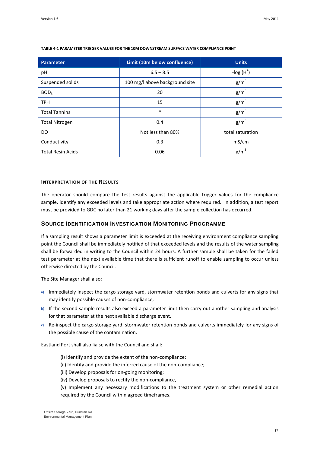| <b>Parameter</b>         | Limit (10m below confluence)   | <b>Units</b>     |
|--------------------------|--------------------------------|------------------|
| рH                       | $6.5 - 8.5$                    | -log $(H^+)$     |
| Suspended solids         | 100 mg/l above background site | $g/m^3$          |
| BOD <sub>5</sub>         | 20                             | $g/m^3$          |
| <b>TPH</b>               | 15                             | $g/m^3$          |
| <b>Total Tannins</b>     | $\ast$                         | $g/m^3$          |
| <b>Total Nitrogen</b>    | 0.4                            | $g/m^3$          |
| DO                       | Not less than 80%              | total saturation |
| Conductivity             | 0.3                            | mS/cm            |
| <b>Total Resin Acids</b> | 0.06                           | $g/m^3$          |

#### <span id="page-20-0"></span>**TABLE 4-1 PARAMETER TRIGGER VALUES FOR THE 10M DOWNSTREAM SURFACE WATER COMPLIANCE POINT**

#### **INTERPRETATION OF THE RESULTS**

The operator should compare the test results against the applicable trigger values for the compliance sample, identify any exceeded levels and take appropriate action where required. In addition, a test report must be provided to GDC no later than 21 working days after the sample collection has occurred.

#### **SOURCE IDENTIFICATION INVESTIGATION MONITORING PROGRAMME**

If a sampling result shows a parameter limit is exceeded at the receiving environment compliance sampling point the Council shall be immediately notified of that exceeded levels and the results of the water sampling shall be forwarded in writing to the Council within 24 hours. A further sample shall be taken for the failed test parameter at the next available time that there is sufficient runoff to enable sampling to occur unless otherwise directed by the Council.

The Site Manager shall also:

- a) Immediately inspect the cargo storage yard, stormwater retention ponds and culverts for any signs that may identify possible causes of non-compliance,
- b) If the second sample results also exceed a parameter limit then carry out another sampling and analysis for that parameter at the next available discharge event.
- c) Re-inspect the cargo storage yard, stormwater retention ponds and culverts immediately for any signs of the possible cause of the contamination.

Eastland Port shall also liaise with the Council and shall:

- (i) Identify and provide the extent of the non-compliance;
- (ii) Identify and provide the inferred cause of the non-compliance;
- (iii) Develop proposals for on-going monitoring;
- (iv) Develop proposals to rectify the non-compliance,
- (v) Implement any necessary modifications to the treatment system or other remedial action required by the Council within agreed timeframes.

Offsite Storage Yard, Dunstan Rd Environmental Management Plan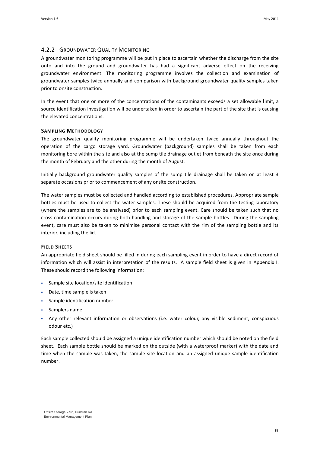#### 4.2.2 GROUNDWATER QUALITY MONITORING

A groundwater monitoring programme will be put in place to ascertain whether the discharge from the site onto and into the ground and groundwater has had a significant adverse effect on the receiving groundwater environment. The monitoring programme involves the collection and examination of groundwater samples twice annually and comparison with background groundwater quality samples taken prior to onsite construction.

In the event that one or more of the concentrations of the contaminants exceeds a set allowable limit, a source identification investigation will be undertaken in order to ascertain the part of the site that is causing the elevated concentrations.

#### **SAMPLING METHODOLOGY**

The groundwater quality monitoring programme will be undertaken twice annually throughout the operation of the cargo storage yard. Groundwater (background) samples shall be taken from each monitoring bore within the site and also at the sump tile drainage outlet from beneath the site once during the month of February and the other during the month of August.

Initially background groundwater quality samples of the sump tile drainage shall be taken on at least 3 separate occasions prior to commencement of any onsite construction.

The water samples must be collected and handled according to established procedures. Appropriate sample bottles must be used to collect the water samples. These should be acquired from the testing laboratory (where the samples are to be analysed) prior to each sampling event. Care should be taken such that no cross contamination occurs during both handling and storage of the sample bottles. During the sampling event, care must also be taken to minimise personal contact with the rim of the sampling bottle and its interior, including the lid.

#### **FIELD SHEETS**

An appropriate field sheet should be filled in during each sampling event in order to have a direct record of information which will assist in interpretation of the results. A sample field sheet is given in Appendix I. These should record the following information:

- Sample site location/site identification
- Date, time sample is taken
- Sample identification number
- Samplers name
- Any other relevant information or observations (i.e. water colour, any visible sediment, conspicuous odour etc.)

Each sample collected should be assigned a unique identification number which should be noted on the field sheet. Each sample bottle should be marked on the outside (with a waterproof marker) with the date and time when the sample was taken, the sample site location and an assigned unique sample identification number.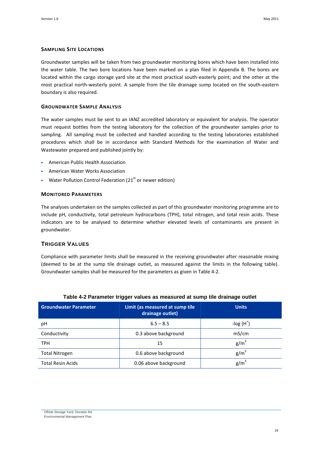#### **SAMPLING SITE LOCATIONS**

Groundwater samples will be taken from two groundwater monitoring bores which have been installed into the water table. The two bore locations have been marked on a plan filed in Appendix B. The bores are located within the cargo storage yard site at the most practical south-easterly point; and the other at the most practical north-westerly point. A sample from the tile drainage sump located on the south-eastern boundary is also required.

#### **GROUNDWATER SAMPLE ANALYSIS**

The water samples must be sent to an IANZ accredited laboratory or equivalent for analysis. The operator must request bottles from the testing laboratory for the collection of the groundwater samples prior to sampling. All sampling must be collected and handled according to the testing laboratories established procedures which shall be in accordance with Standard Methods for the examination of Water and Wastewater prepared and published jointly by:

- American Public Health Association
- American Water Works Association
- Water Pollution Control Federation ( $21<sup>st</sup>$  or newer edition)

#### **MONITORED PARAMETERS**

The analyses undertaken on the samples collected as part of this groundwater monitoring programme are to include pH, conductivity, total petroleum hydrocarbons (TPH), total nitrogen, and total resin acids. These indicators are to be analysed to determine whether elevated levels of contaminants are present in groundwater.

#### **TRIGGER VALUES**

Compliance with parameter limits shall be measured in the receiving groundwater after reasonable mixing (deemed to be at the sump tile drainage outlet, as measured against the limits in the following table). Groundwater samples shall be measured for the parameters as given in [Table 4-2.](#page-22-0)

<span id="page-22-0"></span>

| <b>Groundwater Parameter</b> | Limit (as measured at sump tile<br>drainage outlet) | <b>Units</b> |
|------------------------------|-----------------------------------------------------|--------------|
| рH                           | $6.5 - 8.5$                                         | -log $(H^+)$ |
| Conductivity                 | 0.3 above background                                | mS/cm        |
| <b>TPH</b>                   | 15                                                  | $g/m^3$      |
| <b>Total Nitrogen</b>        | 0.6 above background                                | $g/m^3$      |
| <b>Total Resin Acids</b>     | 0.06 above background                               | $g/m^3$      |

#### **Table 4-2 Parameter trigger values as measured at sump tile drainage outlet**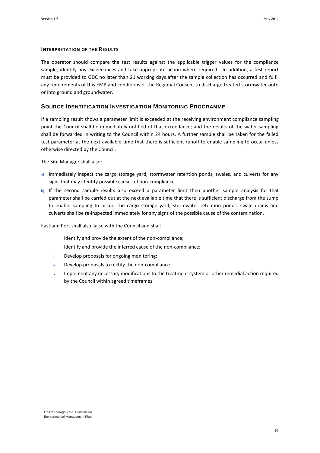#### **INTERPRETATION OF THE RESULTS**

The operator should compare the test results against the applicable trigger values for the compliance sample, identify any exceedances and take appropriate action where required. In addition, a test report must be provided to GDC no later than 21 working days after the sample collection has occurred and fulfil any requirements of this EMP and conditions of the Regional Consent to discharge treated stormwater onto or into ground and groundwater.

#### **SOURCE IDENTIFICATION INVESTIGATION MONITORING PROGRAMME**

If a sampling result shows a parameter limit is exceeded at the receiving environment compliance sampling point the Council shall be immediately notified of that exceedance; and the results of the water sampling shall be forwarded in writing to the Council within 24 hours. A further sample shall be taken for the failed test parameter at the next available time that there is sufficient runoff to enable sampling to occur unless otherwise directed by the Council.

The Site Manager shall also:

- a) Immediately inspect the cargo storage yard, stormwater retention ponds, swales, and culverts for any signs that may identify possible causes of non-compliance.
- b) If the second sample results also exceed a parameter limit then another sample analysis for that parameter shall be carried out at the next available time that there is sufficient discharge from the sump to enable sampling to occur. The cargo storage yard, stormwater retention ponds, swale drains and culverts shall be re-inspected immediately for any signs of the possible cause of the contamination.

Eastland Port shall also liaise with the Council and shall

- i. Identify and provide the extent of the non-compliance;
- ii. Identify and provide the inferred cause of the non-compliance;
- iii. Develop proposals for ongoing monitoring;
- iv. Develop proposals to rectify the non-compliance.
- v. Implement any necessary modifications to the treatment system or other remedial action required by the Council within agreed timeframes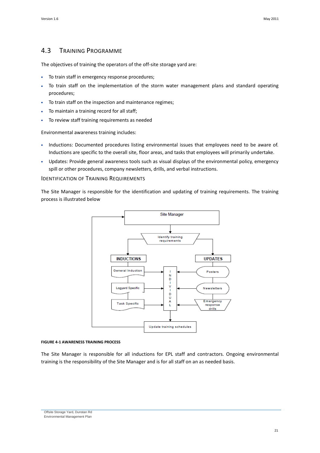## <span id="page-24-0"></span>4.3 TRAINING PROGRAMME

The objectives of training the operators of the off-site storage yard are:

- To train staff in emergency response procedures;
- To train staff on the implementation of the storm water management plans and standard operating procedures;
- To train staff on the inspection and maintenance regimes;
- To maintain a training record for all staff;
- To review staff training requirements as needed

Environmental awareness training includes:

- Inductions: Documented procedures listing environmental issues that employees need to be aware of. Inductions are specific to the overall site, floor areas, and tasks that employees will primarily undertake.
- Updates: Provide general awareness tools such as visual displays of the environmental policy, emergency spill or other procedures, company newsletters, drills, and verbal instructions.

#### IDENTIFICATION OF TRAINING REQUIREMENTS

The Site Manager is responsible for the identification and updating of training requirements. The training process is illustrated below



#### **FIGURE 4-1 AWARENESS TRAINING PROCESS**

The Site Manager is responsible for all inductions for EPL staff and contractors. Ongoing environmental training is the responsibility of the Site Manager and is for all staff on an as needed basis.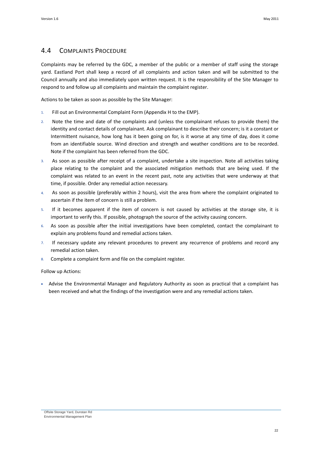## <span id="page-25-0"></span>4.4 COMPLAINTS PROCEDURE

Complaints may be referred by the GDC, a member of the public or a member of staff using the storage yard. Eastland Port shall keep a record of all complaints and action taken and will be submitted to the Council annually and also immediately upon written request. It is the responsibility of the Site Manager to respond to and follow up all complaints and maintain the complaint register.

Actions to be taken as soon as possible by the Site Manager:

- 1. Fill out an Environmental Complaint Form (Appendix H to the EMP).
- 2. Note the time and date of the complaints and (unless the complainant refuses to provide them) the identity and contact details of complainant. Ask complainant to describe their concern; is it a constant or Intermittent nuisance, how long has it been going on for, is it worse at any time of day, does it come from an identifiable source. Wind direction and strength and weather conditions are to be recorded. Note if the complaint has been referred from the GDC.
- 3. As soon as possible after receipt of a complaint, undertake a site inspection. Note all activities taking place relating to the complaint and the associated mitigation methods that are being used. If the complaint was related to an event in the recent past, note any activities that were underway at that time, if possible. Order any remedial action necessary.
- 4. As soon as possible (preferably within 2 hours), visit the area from where the complaint originated to ascertain if the item of concern is still a problem.
- 5. If it becomes apparent if the item of concern is not caused by activities at the storage site, it is important to verify this. If possible, photograph the source of the activity causing concern.
- 6. As soon as possible after the initial investigations have been completed, contact the complainant to explain any problems found and remedial actions taken.
- 7. If necessary update any relevant procedures to prevent any recurrence of problems and record any remedial action taken.
- Complete a complaint form and file on the complaint register.

Follow up Actions:

 Advise the Environmental Manager and Regulatory Authority as soon as practical that a complaint has been received and what the findings of the investigation were and any remedial actions taken.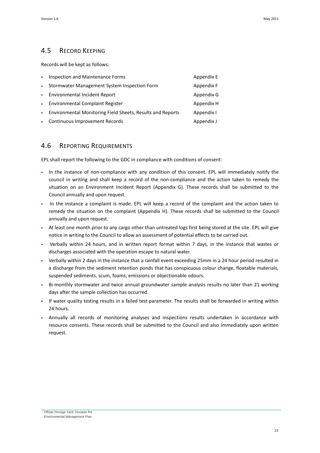## <span id="page-26-0"></span>4.5 RECORD KEEPING

Records will be kept as follows:

| $\bullet$   | Inspection and Maintenance Forms                           | Appendix E |
|-------------|------------------------------------------------------------|------------|
| $\bullet$   | Stormwater Management System Inspection Form               | Appendix F |
|             | • Environmental Incident Report                            | Appendix G |
| $\bullet$ . | Environmental Complaint Register                           | Appendix H |
| $\bullet$ . | Environmental Monitoring Field Sheets, Results and Reports | Appendix I |
| $\bullet$ . | Continuous Improvement Records                             | Appendix J |

### <span id="page-26-1"></span>4.6 REPORTING REQUIREMENTS

EPL shall report the following to the GDC in compliance with conditions of consent:

- In the instance of non-compliance with any condition of this consent. EPL will immediately notify the council in writing and shall keep a record of the non-compliance and the action taken to remedy the situation on an Environment Incident Report (Appendix G). These records shall be submitted to the Council annually and upon request.
- In the instance a complaint is made. EPL will keep a record of the complaint and the action taken to remedy the situation on the complaint (Appendix H). These records shall be submitted to the Council annually and upon request.
- At least one month prior to any cargo other than untreated logs first being stored at the site. EPL will give notice in writing to the Council to allow an assessment of potential effects to be carried out.
- Verbally within 24 hours, and in written report format within 7 days, in the instance that wastes or discharges associated with the operation escape to natural water.
- Verbally within 2 days in the instance that a rainfall event exceeding 25mm in a 24 hour period resulted in a discharge from the sediment retention ponds that has conspicuous colour change, floatable materials, suspended sediments, scum, foams, emissions or objectionable odours.
- Bi-monthly stormwater and twice annual groundwater sample analysis results no later than 21 working days after the sample collection has occurred.
- If water quality testing results in a failed test parameter. The results shall be forwarded in writing within 24 hours.
- Annually all records of monitoring analyses and inspections results undertaken in accordance with resource consents. These records shall be submitted to the Council and also immediately upon written request.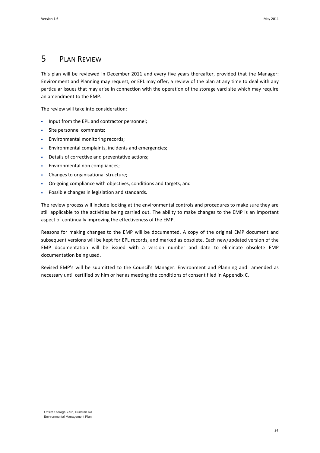## <span id="page-27-0"></span>5 PLAN REVIEW

This plan will be reviewed in December 2011 and every five years thereafter, provided that the Manager: Environment and Planning may request, or EPL may offer, a review of the plan at any time to deal with any particular issues that may arise in connection with the operation of the storage yard site which may require an amendment to the EMP.

The review will take into consideration:

- Input from the EPL and contractor personnel;
- Site personnel comments;
- Environmental monitoring records;
- Environmental complaints, incidents and emergencies;
- Details of corrective and preventative actions;
- Environmental non compliances;
- Changes to organisational structure;
- On-going compliance with objectives, conditions and targets; and
- Possible changes in legislation and standards.

The review process will include looking at the environmental controls and procedures to make sure they are still applicable to the activities being carried out. The ability to make changes to the EMP is an important aspect of continually improving the effectiveness of the EMP.

Reasons for making changes to the EMP will be documented. A copy of the original EMP document and subsequent versions will be kept for EPL records, and marked as obsolete. Each new/updated version of the EMP documentation will be issued with a version number and date to eliminate obsolete EMP documentation being used.

Revised EMP's will be submitted to the Council's Manager: Environment and Planning and amended as necessary until certified by him or her as meeting the conditions of consent filed in Appendix C.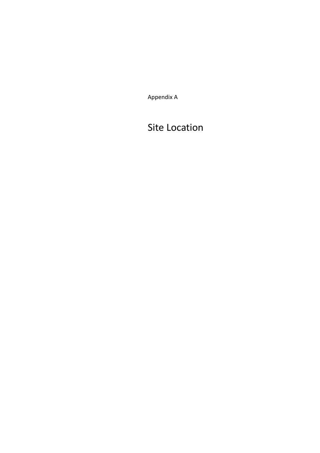Appendix A

## Site Location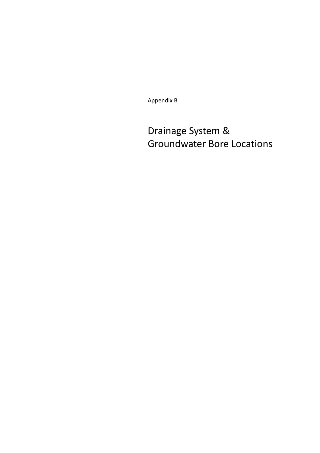Appendix B

# Drainage System & Groundwater Bore Locations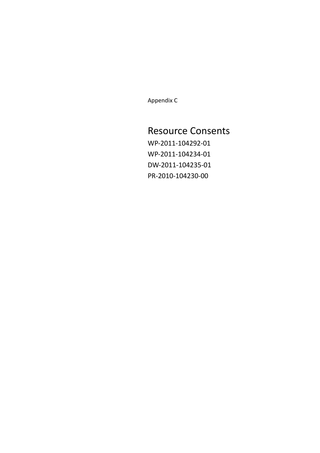Appendix C

## Resource Consents

WP-2011-104292-01 WP-2011-104234-01 DW-2011-104235-01 PR-2010-104230-00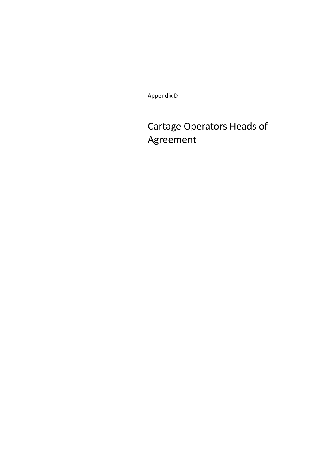Appendix D

# Cartage Operators Heads of Agreement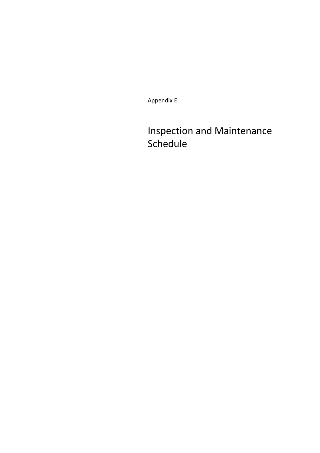Appendix E

# Inspection and Maintenance Schedule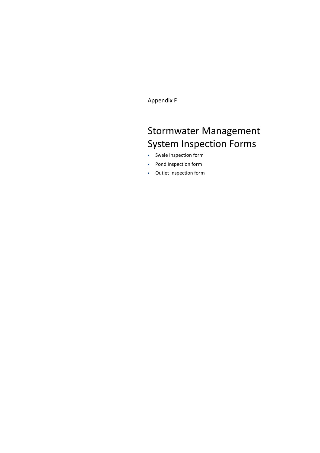Appendix F

# Stormwater Management System Inspection Forms

- Swale Inspection form
- Pond Inspection form
- Outlet Inspection form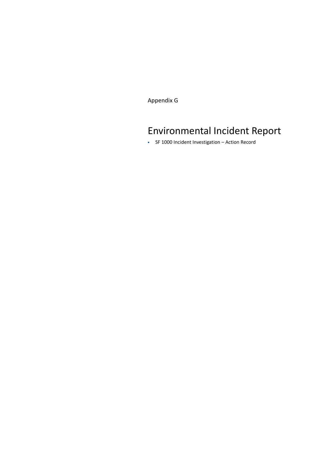Appendix G

# Environmental Incident Report

SF 1000 Incident Investigation – Action Record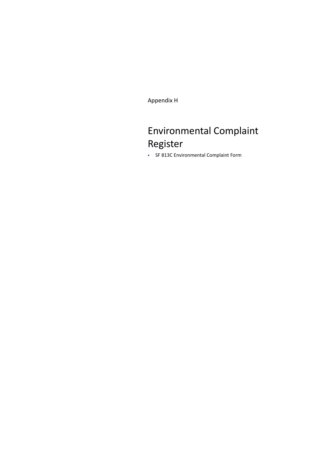Appendix H

# Environmental Complaint Register

SF 813C Environmental Complaint Form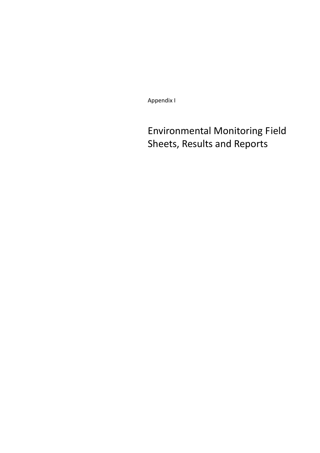Appendix I

Environmental Monitoring Field Sheets, Results and Reports